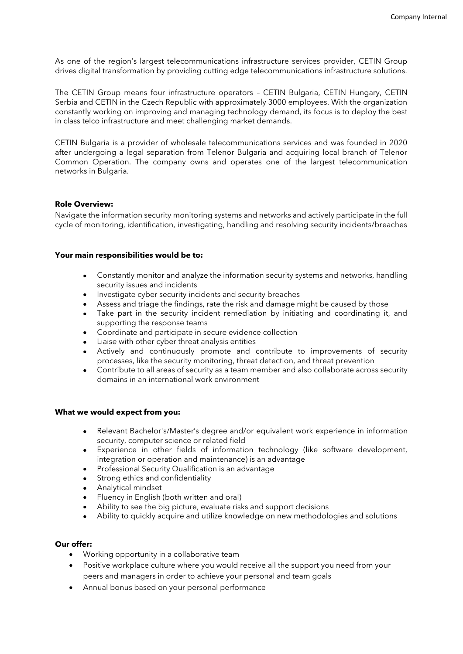As one of the region's largest telecommunications infrastructure services provider, CETIN Group drives digital transformation by providing cutting edge telecommunications infrastructure solutions.

The CETIN Group means four infrastructure operators – CETIN Bulgaria, CETIN Hungary, CETIN Serbia and CETIN in the Czech Republic with approximately 3000 employees. With the organization constantly working on improving and managing technology demand, its focus is to deploy the best in class telco infrastructure and meet challenging market demands.

CETIN Bulgaria is a provider of wholesale telecommunications services and was founded in 2020 after undergoing a legal separation from Telenor Bulgaria and acquiring local branch of Telenor Common Operation. The company owns and operates one of the largest telecommunication networks in Bulgaria.

## **Role Overview:**

Navigate the information security monitoring systems and networks and actively participate in the full cycle of monitoring, identification, investigating, handling and resolving security incidents/breaches

## **Your main responsibilities would be to:**

- Constantly monitor and analyze the information security systems and networks, handling security issues and incidents
- Investigate cyber security incidents and security breaches
- Assess and triage the findings, rate the risk and damage might be caused by those
- Take part in the security incident remediation by initiating and coordinating it, and supporting the response teams
- Coordinate and participate in secure evidence collection
- Liaise with other cyber threat analysis entities
- Actively and continuously promote and contribute to improvements of security processes, like the security monitoring, threat detection, and threat prevention
- Contribute to all areas of security as a team member and also collaborate across security domains in an international work environment

## **What we would expect from you:**

- Relevant Bachelor's/Master's degree and/or equivalent work experience in information security, computer science or related field
- Experience in other fields of information technology (like software development, integration or operation and maintenance) is an advantage
- Professional Security Qualification is an advantage
- Strong ethics and confidentiality
- Analytical mindset
- Fluency in English (both written and oral)
- Ability to see the big picture, evaluate risks and support decisions
- Ability to quickly acquire and utilize knowledge on new methodologies and solutions

## **Our offer:**

- Working opportunity in a collaborative team
- Positive workplace culture where you would receive all the support you need from your peers and managers in order to achieve your personal and team goals
- Annual bonus based on your personal performance